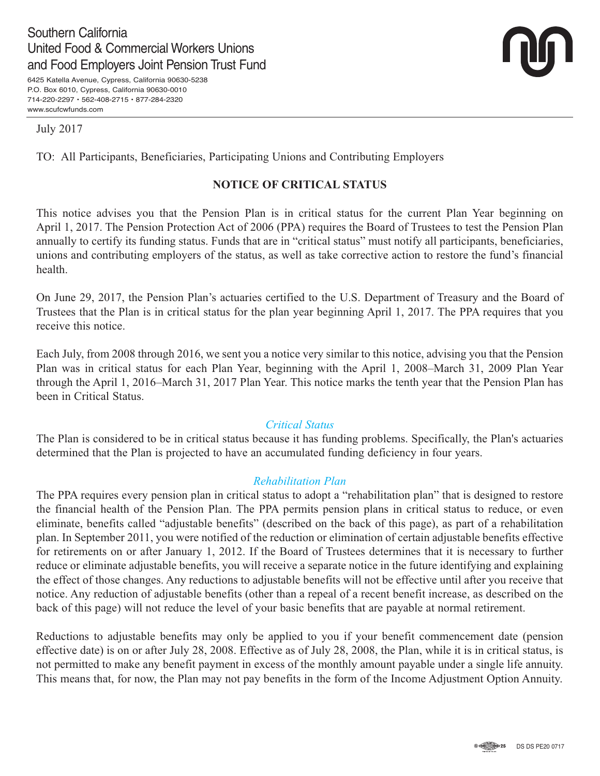# Southern California United Food & Commercial Workers Unions and Food Employers Joint Pension Trust Fund

6425 Katella Avenue, Cypress, California 90630-5238 P.O. Box 6010, Cypress, California 90630-0010 714-220-2297 • 562-408-2715 • 877-284-2320 www.scufcwfunds.com



July 2017

TO: All Participants, Beneficiaries, Participating Unions and Contributing Employers

# **NOTICE OF CRITICAL STATUS**

This notice advises you that the Pension Plan is in critical status for the current Plan Year beginning on April 1, 2017. The Pension Protection Act of 2006 (PPA) requires the Board of Trustees to test the Pension Plan annually to certify its funding status. Funds that are in "critical status" must notify all participants, beneficiaries, unions and contributing employers of the status, as well as take corrective action to restore the fund's financial health.

On June 29, 2017, the Pension Plan's actuaries certified to the U.S. Department of Treasury and the Board of Trustees that the Plan is in critical status for the plan year beginning April 1, 2017. The PPA requires that you receive this notice.

Each July, from 2008 through 2016, we sent you a notice very similar to this notice, advising you that the Pension Plan was in critical status for each Plan Year, beginning with the April 1, 2008–March 31, 2009 Plan Year through the April 1, 2016–March 31, 2017 Plan Year. This notice marks the tenth year that the Pension Plan has been in Critical Status.

#### *Critical Status*

The Plan is considered to be in critical status because it has funding problems. Specifically, the Plan's actuaries determined that the Plan is projected to have an accumulated funding deficiency in four years.

### *Rehabilitation Plan*

The PPA requires every pension plan in critical status to adopt a "rehabilitation plan" that is designed to restore the financial health of the Pension Plan. The PPA permits pension plans in critical status to reduce, or even eliminate, benefits called "adjustable benefits" (described on the back of this page), as part of a rehabilitation plan. In September 2011, you were notified of the reduction or elimination of certain adjustable benefits effective for retirements on or after January 1, 2012. If the Board of Trustees determines that it is necessary to further reduce or eliminate adjustable benefits, you will receive a separate notice in the future identifying and explaining the effect of those changes. Any reductions to adjustable benefits will not be effective until after you receive that notice. Any reduction of adjustable benefits (other than a repeal of a recent benefit increase, as described on the back of this page) will not reduce the level of your basic benefits that are payable at normal retirement.

Reductions to adjustable benefits may only be applied to you if your benefit commencement date (pension effective date) is on or after July 28, 2008. Effective as of July 28, 2008, the Plan, while it is in critical status, is not permitted to make any benefit payment in excess of the monthly amount payable under a single life annuity. This means that, for now, the Plan may not pay benefits in the form of the Income Adjustment Option Annuity.